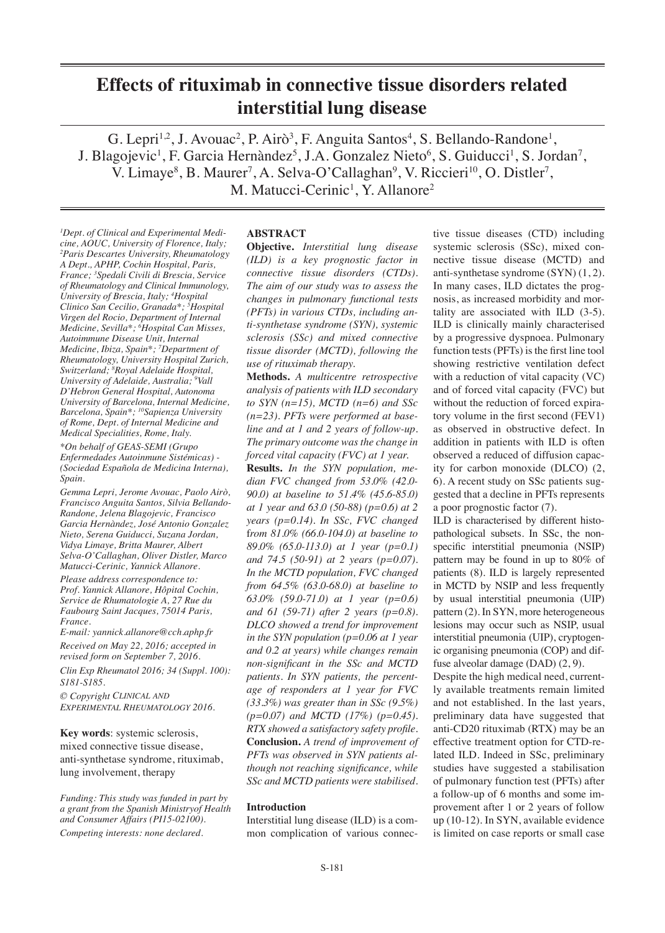# **Effects of rituximab in connective tissue disorders related interstitial lung disease**

G. Lepri<sup>1,2</sup>, J. Avouac<sup>2</sup>, P. Airò<sup>3</sup>, F. Anguita Santos<sup>4</sup>, S. Bellando-Randone<sup>1</sup>, J. Blagojevic<sup>1</sup>, F. Garcia Hernàndez<sup>5</sup>, J.A. Gonzalez Nieto<sup>6</sup>, S. Guiducci<sup>1</sup>, S. Jordan<sup>7</sup>, V. Limaye<sup>8</sup>, B. Maurer<sup>7</sup>, A. Selva-O'Callaghan<sup>9</sup>, V. Riccieri<sup>10</sup>, O. Distler<sup>7</sup>, M. Matucci-Cerinic<sup>1</sup>, Y. Allanore<sup>2</sup>

*1 Dept. of Clinical and Experimental Medicine, AOUC, University of Florence, Italy; 2 Paris Descartes University, Rheumatology A Dept., APHP, Cochin Hospital, Paris, France; 3 Spedali Civili di Brescia, Service of Rheumatology and Clinical Immunology, University of Brescia, Italy; 4 Hospital Clinico San Cecilio, Granada\*; 5 Hospital Virgen del Rocio, Department of Internal Medicine, Sevilla\*; 6 Hospital Can Misses, Autoimmune Disease Unit, Internal Medicine, Ibiza, Spain\*; 7 Department of Rheumatology, University Hospital Zurich, Switzerland; 8 Royal Adelaide Hospital, University of Adelaide, Australia; 9 Vall D'Hebron General Hospital, Autonoma University of Barcelona, Internal Medicine, Barcelona, Spain\*; 10Sapienza University of Rome, Dept. of Internal Medicine and Medical Specialities, Rome, Italy.*

*\*On behalf of GEAS-SEMI (Grupo Enfermedades Autoinmune Sistémicas) - (Sociedad Española de Medicina Interna), Spain.*

*Gemma Lepri, Jerome Avouac, Paolo Airò, Francisco Anguita Santos, Silvia Bellando-Randone, Jelena Blagojevic, Francisco Garcia Hernàndez, José Antonio Gonzalez Nieto, Serena Guiducci, Suzana Jordan, Vidya Limaye, Britta Maurer, Albert Selva-O'Callaghan, Oliver Distler, Marco Matucci-Cerinic, Yannick Allanore.*

*Please address correspondence to: Prof. Yannick Allanore, Hôpital Cochin, Service de Rhumatologie A, 27 Rue du Faubourg Saint Jacques, 75014 Paris, France.*

*E-mail: yannick.allanore@cch.aphp.fr Received on May 22, 2016; accepted in revised form on September 7, 2016.*

*Clin Exp Rheumatol 2016; 34 (Suppl. 100): S181-S185.*

*© Copyright Clinical and Experimental Rheumatology 2016.*

**Key words**: systemic sclerosis, mixed connective tissue disease, anti-synthetase syndrome, rituximab, lung involvement, therapy

*Funding: This study was funded in part by a grant from the Spanish Ministryof Health and Consumer Affairs (PI15-02100). Competing interests: none declared.*

# **ABSTRACT**

**Objective.** *Interstitial lung disease (ILD) is a key prognostic factor in connective tissue disorders (CTDs). The aim of our study was to assess the changes in pulmonary functional tests (PFTs) in various CTDs, including anti-synthetase syndrome (SYN), systemic sclerosis (SSc) and mixed connective tissue disorder (MCTD), following the use of rituximab therapy.*

**Methods.** *A multicentre retrospective analysis of patients with ILD secondary to SYN (n=15), MCTD (n=6) and SSc (n=23). PFTs were performed at baseline and at 1 and 2 years of follow-up. The primary outcome was the change in forced vital capacity (FVC) at 1 year.*

**Results.** *In the SYN population, median FVC changed from 53.0% (42.0- 90.0) at baseline to 51.4% (45.6-85.0) at 1 year and 63.0 (50-88) (p=0.6) at 2 years (p=0.14). In SSc, FVC changed*  f*rom 81.0% (66.0-104.0) at baseline to 89.0% (65.0-113.0) at 1 year (p=0.1) and 74.5 (50-91) at 2 years (p=0.07). In the MCTD population, FVC changed from 64.5% (63.0-68.0) at baseline to 63.0% (59.0-71.0) at 1 year (p=0.6) and 61 (59-71) after 2 years (p=0.8). DLCO showed a trend for improvement in the SYN population (p=0.06 at 1 year and 0.2 at years) while changes remain non-significant in the SSc and MCTD patients. In SYN patients, the percentage of responders at 1 year for FVC (33.3%) was greater than in SSc (9.5%) (p=0.07) and MCTD (17%) (p=0.45). RTX showed a satisfactory safety profile.* **Conclusion.** *A trend of improvement of PFTs was observed in SYN patients although not reaching significance, while SSc and MCTD patients were stabilised.*

# **Introduction**

Interstitial lung disease (ILD) is a common complication of various connective tissue diseases (CTD) including systemic sclerosis (SSc), mixed connective tissue disease (MCTD) and anti-synthetase syndrome (SYN) (1, 2). In many cases, ILD dictates the prognosis, as increased morbidity and mortality are associated with ILD (3-5). ILD is clinically mainly characterised by a progressive dyspnoea. Pulmonary function tests (PFTs) is the first line tool showing restrictive ventilation defect with a reduction of vital capacity (VC) and of forced vital capacity (FVC) but without the reduction of forced expiratory volume in the first second (FEV1) as observed in obstructive defect. In addition in patients with ILD is often observed a reduced of diffusion capacity for carbon monoxide (DLCO) (2, 6). A recent study on SSc patients suggested that a decline in PFTs represents a poor prognostic factor (7).

ILD is characterised by different histopathological subsets. In SSc, the nonspecific interstitial pneumonia (NSIP) pattern may be found in up to 80% of patients (8). ILD is largely represented in MCTD by NSIP and less frequently by usual interstitial pneumonia (UIP) pattern (2). In SYN, more heterogeneous lesions may occur such as NSIP, usual interstitial pneumonia (UIP), cryptogenic organising pneumonia (COP) and diffuse alveolar damage (DAD) (2, 9).

Despite the high medical need, currently available treatments remain limited and not established. In the last years, preliminary data have suggested that anti-CD20 rituximab (RTX) may be an effective treatment option for CTD-related ILD. Indeed in SSc, preliminary studies have suggested a stabilisation of pulmonary function test (PFTs) after a follow-up of 6 months and some improvement after 1 or 2 years of follow up (10-12). In SYN, available evidence is limited on case reports or small case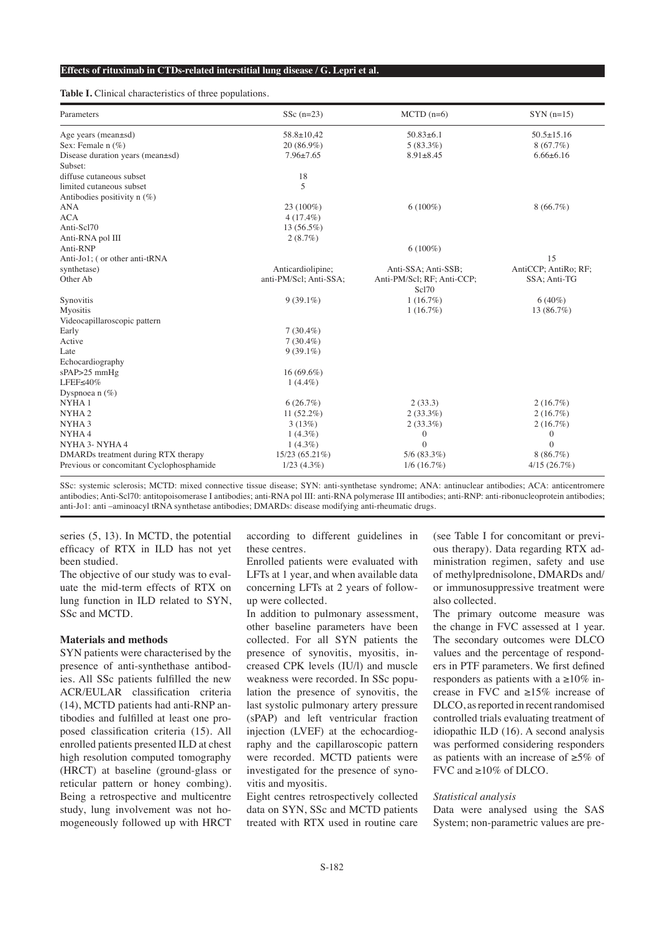#### **Effects of rituximab in CTDs-related interstitial lung disease / G. Lepri et al.**

#### **Table I.** Clinical characteristics of three populations.

| Parameters                               | SSc $(n=23)$           | $MCTD$ (n=6)               | $SYN(n=15)$          |  |
|------------------------------------------|------------------------|----------------------------|----------------------|--|
| Age years (mean $\pm$ sd)                | $58.8 \pm 10.42$       | $50.83 \pm 6.1$            | $50.5 \pm 15.16$     |  |
| Sex: Female $n$ (%)                      | $20(86.9\%)$           | $5(83.3\%)$                | $8(67.7\%)$          |  |
| Disease duration years (mean±sd)         | $7.96 \pm 7.65$        | $8.91 \pm 8.45$            | $6.66 \pm 6.16$      |  |
| Subset:                                  |                        |                            |                      |  |
| diffuse cutaneous subset                 | 18                     |                            |                      |  |
| limited cutaneous subset                 | 5                      |                            |                      |  |
| Antibodies positivity $n(\%)$            |                        |                            |                      |  |
| ANA                                      | $23(100\%)$            | $6(100\%)$                 | $8(66.7\%)$          |  |
| <b>ACA</b>                               | $4(17.4\%)$            |                            |                      |  |
| Anti-Scl70                               | $13(56.5\%)$           |                            |                      |  |
| Anti-RNA pol III                         | $2(8.7\%)$             |                            |                      |  |
| Anti-RNP                                 |                        | $6(100\%)$                 |                      |  |
| Anti-Jo1; (or other anti-tRNA            |                        |                            | 15                   |  |
| synthetase)                              | Anticardiolipine;      | Anti-SSA; Anti-SSB;        | AntiCCP; AntiRo; RF; |  |
| Other Ab                                 | anti-PM/Scl; Anti-SSA; | Anti-PM/Scl; RF; Anti-CCP; | SSA; Anti-TG         |  |
|                                          |                        | Scl70                      |                      |  |
| Synovitis                                | $9(39.1\%)$            | 1(16.7%)                   | $6(40\%)$            |  |
| Myositis                                 |                        | 1(16.7%)                   | 13 (86.7%)           |  |
| Videocapillaroscopic pattern             |                        |                            |                      |  |
| Early                                    | $7(30.4\%)$            |                            |                      |  |
| Active                                   | $7(30.4\%)$            |                            |                      |  |
| Late                                     | $9(39.1\%)$            |                            |                      |  |
| Echocardiography                         |                        |                            |                      |  |
| sPAP>25 mmHg                             | $16(69.6\%)$           |                            |                      |  |
| LFEF $\leq 40\%$                         | $1(4.4\%)$             |                            |                      |  |
| Dyspnoea n $(\%)$                        |                        |                            |                      |  |
| NYHA1                                    | 6(26.7%)               | 2(33.3)                    | 2(16.7%)             |  |
| NYHA <sub>2</sub>                        | $11(52.2\%)$           | $2(33.3\%)$                | 2(16.7%)             |  |
| NYHA <sub>3</sub>                        | 3(13%)                 | $2(33.3\%)$                | 2(16.7%)             |  |
| NYHA4                                    | $1(4.3\%)$             | 0                          | $\boldsymbol{0}$     |  |
| NYHA 3- NYHA 4                           | $1(4.3\%)$             | $\theta$                   | $\theta$             |  |
| DMARDs treatment during RTX therapy      | 15/23 (65.21%)         | $5/6$ (83.3%)              | $8(86.7\%)$          |  |
| Previous or concomitant Cyclophosphamide | $1/23$ (4.3%)          | $1/6$ (16.7%)              | 4/15(26.7%)          |  |

SSc: systemic sclerosis; MCTD: mixed connective tissue disease; SYN: anti-synthetase syndrome; ANA: antinuclear antibodies; ACA: anticentromere antibodies; Anti-Scl70: antitopoisomerase I antibodies; anti-RNA pol III: anti-RNA polymerase III antibodies; anti-RNP: anti-ribonucleoprotein antibodies; anti-Jo1: anti –aminoacyl tRNA synthetase antibodies; DMARDs: disease modifying anti-rheumatic drugs.

series (5, 13). In MCTD, the potential efficacy of RTX in ILD has not yet been studied.

The objective of our study was to evaluate the mid-term effects of RTX on lung function in ILD related to SYN, SSc and MCTD.

#### **Materials and methods**

SYN patients were characterised by the presence of anti-synthethase antibodies. All SSc patients fulfilled the new ACR/EULAR classification criteria (14), MCTD patients had anti-RNP antibodies and fulfilled at least one proposed classification criteria (15). All enrolled patients presented ILD at chest high resolution computed tomography (HRCT) at baseline (ground-glass or reticular pattern or honey combing). Being a retrospective and multicentre study, lung involvement was not homogeneously followed up with HRCT

according to different guidelines in these centres.

Enrolled patients were evaluated with LFTs at 1 year, and when available data concerning LFTs at 2 years of followup were collected.

In addition to pulmonary assessment, other baseline parameters have been collected. For all SYN patients the presence of synovitis, myositis, increased CPK levels (IU/l) and muscle weakness were recorded. In SSc population the presence of synovitis, the last systolic pulmonary artery pressure (sPAP) and left ventricular fraction injection (LVEF) at the echocardiography and the capillaroscopic pattern were recorded. MCTD patients were investigated for the presence of synovitis and myositis.

Eight centres retrospectively collected data on SYN, SSc and MCTD patients treated with RTX used in routine care (see Table I for concomitant or previous therapy). Data regarding RTX administration regimen, safety and use of methylprednisolone, DMARDs and/ or immunosuppressive treatment were also collected.

The primary outcome measure was the change in FVC assessed at 1 year. The secondary outcomes were DLCO values and the percentage of responders in PTF parameters. We first defined responders as patients with a  $\geq 10\%$  increase in FVC and ≥15% increase of DLCO, as reported in recent randomised controlled trials evaluating treatment of idiopathic ILD (16). A second analysis was performed considering responders as patients with an increase of ≥5% of FVC and ≥10% of DLCO.

## *Statistical analysis*

Data were analysed using the SAS System; non-parametric values are pre-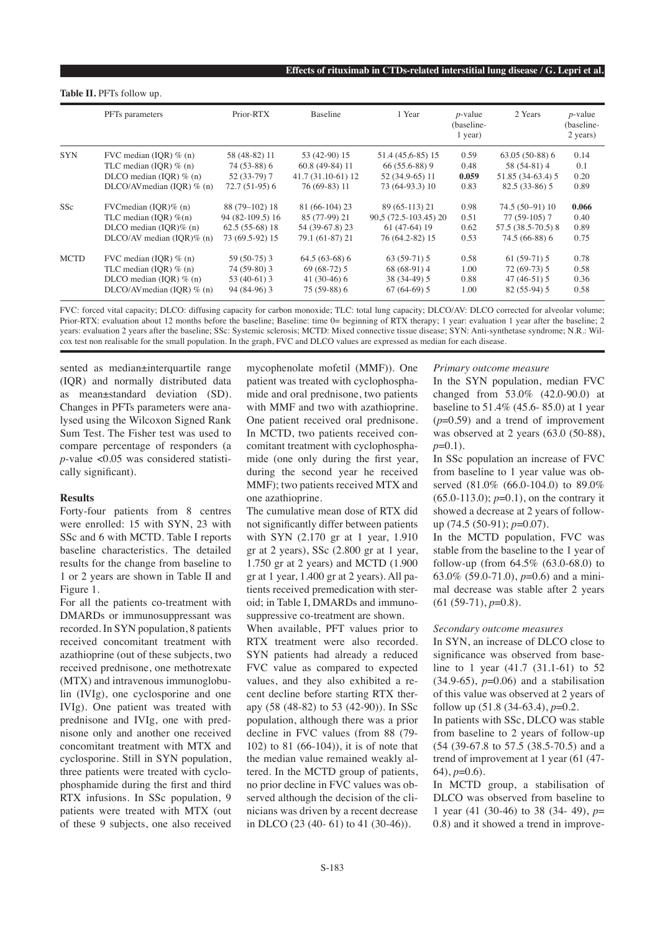|             | PFT <sub>s</sub> parameters   | Prior-RTX        | Baseline           | 1 Year                | $p$ -value<br>(baseline-<br>$1$ year) | 2 Years            | $p$ -value<br>(baseline-<br>2 years) |
|-------------|-------------------------------|------------------|--------------------|-----------------------|---------------------------------------|--------------------|--------------------------------------|
| <b>SYN</b>  | FVC median (IQR) $% (n)$      | 58 (48-82) 11    | 53 (42-90) 15      | 51.4 (45, 6-85) 15    | 0.59                                  | $63.05(50-88)$ 6   | 0.14                                 |
|             | TLC median (IOR) $% (n)$      | 74 (53-88) 6     | $60.8(49-84)11$    | $66(55.6-88)9$        | 0.48                                  | 58 (54-81) 4       | 0.1                                  |
|             | DLCO median (IOR) $% (n)$     | 52 (33-79) 7     | 41.7 (31.10-61) 12 | 52 (34.9-65) 11       | 0.059                                 | 51.85 (34-63.4) 5  | 0.20                                 |
|             | DLCO/AV median (IOR) $% (n)$  | $72.7(51-95)$ 6  | 76 (69-83) 11      | 73 (64-93.3) 10       | 0.83                                  | $82.5(33-86)5$     | 0.89                                 |
| SSc         | $FVC$ median (IQR)% (n)       | 88 (79-102) 18   | 81 (66-104) 23     | 89 (65-113) 21        | 0.98                                  | 74.5 (50-91) 10    | 0.066                                |
|             | TLC median (IOR) $\%$ (n)     | 94 (82-109.5) 16 | 85 (77-99) 21      | 90,5 (72.5-103.45) 20 | 0.51                                  | 77 (59-105) 7      | 0.40                                 |
|             | DLCO median $(IOR)$ % $(n)$   | $62.5(55-68)18$  | 54 (39-67.8) 23    | $61(47-64)19$         | 0.62                                  | 57.5 (38.5-70.5) 8 | 0.89                                 |
|             | $DLCO/AV$ median (IQR)% (n)   | 73 (69.5-92) 15  | 79.1 (61-87) 21    | 76 (64.2-82) 15       | 0.53                                  | 74.5 (66-88) 6     | 0.75                                 |
| <b>MCTD</b> | FVC median (IOR) $% (n)$      | $59(50-75)$ 3    | $64.5(63-68)$ 6    | $63(59-71)5$          | 0.58                                  | $61(59-71)5$       | 0.78                                 |
|             | TLC median (IOR) $% (n)$      | 74 (59-80) 3     | $69(68-72)5$       | 68 (68-91) 4          | 1.00                                  | $72(69-73)5$       | 0.58                                 |
|             | DLCO median (IOR) $% (n)$     | 53 $(40-61)$ 3   | $41(30-46)6$       | 38 (34-49) 5          | 0.88                                  | $47(46-51)5$       | 0.36                                 |
|             | DLCO/AV median (IQR) $\%$ (n) | 94 (84-96) 3     | 75 (59-88) 6       | $67(64-69)5$          | 1.00                                  | $82(55-94)5$       | 0.58                                 |

FVC: forced vital capacity; DLCO: diffusing capacity for carbon monoxide; TLC: total lung capacity; DLCO/AV: DLCO corrected for alveolar volume; Prior-RTX: evaluation about 12 months before the baseline; Baseline: time 0= beginning of RTX therapy; 1 year: evaluation 1 year after the baseline; 2 years: evaluation 2 years after the baseline; SSc: Systemic sclerosis; MCTD: Mixed connective tissue disease; SYN: Anti-synthetase syndrome; N.R.: Wilcox test non realisable for the small population. In the graph, FVC and DLCO values are expressed as median for each disease.

sented as median±interquartile range (IQR) and normally distributed data as mean±standard deviation (SD). Changes in PFTs parameters were analysed using the Wilcoxon Signed Rank Sum Test. The Fisher test was used to compare percentage of responders (a *p*-value <0.05 was considered statistically significant).

**Table II.** PFTs follow up.

## **Results**

Forty-four patients from 8 centres were enrolled: 15 with SYN, 23 with SSc and 6 with MCTD. Table I reports baseline characteristics. The detailed results for the change from baseline to 1 or 2 years are shown in Table II and Figure 1.

For all the patients co-treatment with DMARDs or immunosuppressant was recorded. In SYN population, 8 patients received concomitant treatment with azathioprine (out of these subjects, two received prednisone, one methotrexate (MTX) and intravenous immunoglobulin (IVIg), one cyclosporine and one IVIg). One patient was treated with prednisone and IVIg, one with prednisone only and another one received concomitant treatment with MTX and cyclosporine. Still in SYN population, three patients were treated with cyclophosphamide during the first and third RTX infusions. In SSc population, 9 patients were treated with MTX (out of these 9 subjects, one also received

mycophenolate mofetil (MMF)). One patient was treated with cyclophosphamide and oral prednisone, two patients with MMF and two with azathioprine. One patient received oral prednisone. In MCTD, two patients received concomitant treatment with cyclophosphamide (one only during the first year, during the second year he received MMF); two patients received MTX and one azathioprine.

The cumulative mean dose of RTX did not significantly differ between patients with SYN (2.170 gr at 1 year, 1.910 gr at 2 years), SSc (2.800 gr at 1 year, 1.750 gr at 2 years) and MCTD (1.900 gr at 1 year, 1.400 gr at 2 years). All patients received premedication with steroid; in Table I, DMARDs and immunosuppressive co-treatment are shown.

When available, PFT values prior to RTX treatment were also recorded. SYN patients had already a reduced FVC value as compared to expected values, and they also exhibited a recent decline before starting RTX therapy (58 (48-82) to 53 (42-90)). In SSc population, although there was a prior decline in FVC values (from 88 (79- 102) to 81 (66-104)), it is of note that the median value remained weakly altered. In the MCTD group of patients, no prior decline in FVC values was observed although the decision of the clinicians was driven by a recent decrease in DLCO (23 (40- 61) to 41 (30-46)).

#### *Primary outcome measure*

In the SYN population, median FVC changed from 53.0% (42.0-90.0) at baseline to 51.4% (45.6- 85.0) at 1 year  $(p=0.59)$  and a trend of improvement was observed at 2 years (63.0 (50-88),  $p=0.1$ 

In SSc population an increase of FVC from baseline to 1 year value was observed (81.0% (66.0-104.0) to 89.0% (65.0-113.0); *p*=0.1), on the contrary it showed a decrease at 2 years of followup (74.5 (50-91); *p*=0.07).

In the MCTD population, FVC was stable from the baseline to the 1 year of follow-up (from 64.5% (63.0-68.0) to 63.0% (59.0-71.0), *p*=0.6) and a minimal decrease was stable after 2 years (61 (59-71), *p*=0.8).

#### *Secondary outcome measures*

In SYN, an increase of DLCO close to significance was observed from baseline to 1 year (41.7 (31.1-61) to 52 (34.9-65), *p*=0.06) and a stabilisation of this value was observed at 2 years of follow up (51.8 (34-63.4), *p*=0.2.

In patients with SSc, DLCO was stable from baseline to 2 years of follow-up (54 (39-67.8 to 57.5 (38.5-70.5) and a trend of improvement at 1 year (61 (47- 64), *p*=0.6).

In MCTD group, a stabilisation of DLCO was observed from baseline to 1 year (41 (30-46) to 38 (34- 49), *p*= 0.8) and it showed a trend in improve-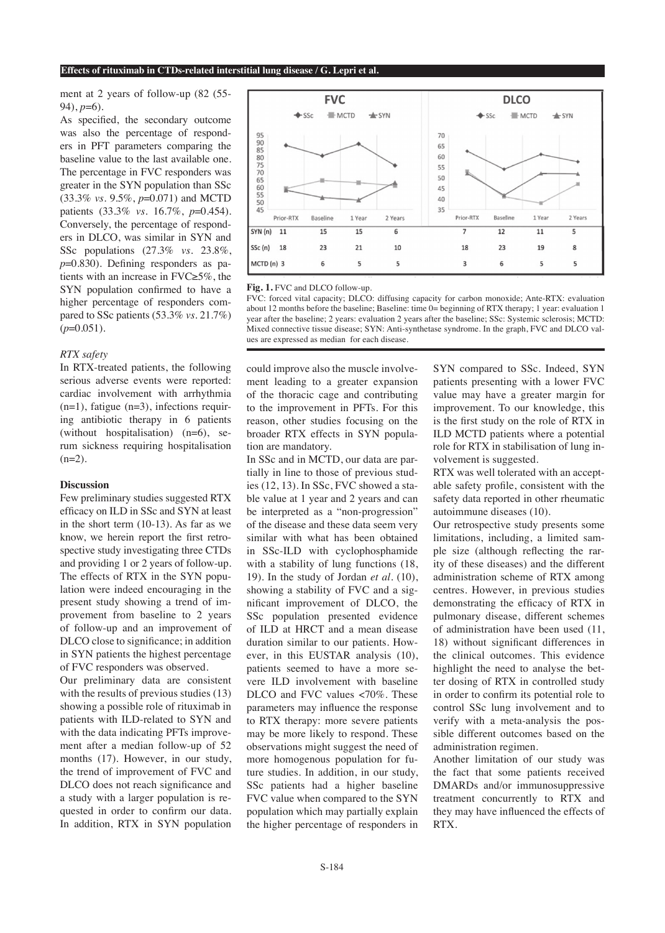#### **Effects of rituximab in CTDs-related interstitial lung disease / G. Lepri et al.**

ment at 2 years of follow-up (82 (55- 94), *p*=6).

As specified, the secondary outcome was also the percentage of responders in PFT parameters comparing the baseline value to the last available one. The percentage in FVC responders was greater in the SYN population than SSc (33.3% *vs.* 9.5%, *p*=0.071) and MCTD patients (33.3% *vs.* 16.7%, *p*=0.454). Conversely, the percentage of responders in DLCO, was similar in SYN and SSc populations (27.3% *vs.* 23.8%, *p*=0.830). Defining responders as patients with an increase in FVC≥5%, the SYN population confirmed to have a higher percentage of responders compared to SSc patients (53.3% *vs.* 21.7%)  $(p=0.051)$ .

## *RTX safety*

In RTX-treated patients, the following serious adverse events were reported: cardiac involvement with arrhythmia  $(n=1)$ , fatigue  $(n=3)$ , infections requiring antibiotic therapy in 6 patients (without hospitalisation) (n=6), serum sickness requiring hospitalisation  $(n=2)$ .

#### **Discussion**

Few preliminary studies suggested RTX efficacy on ILD in SSc and SYN at least in the short term (10-13). As far as we know, we herein report the first retrospective study investigating three CTDs and providing 1 or 2 years of follow-up. The effects of RTX in the SYN population were indeed encouraging in the present study showing a trend of improvement from baseline to 2 years of follow-up and an improvement of DLCO close to significance; in addition in SYN patients the highest percentage of FVC responders was observed.

Our preliminary data are consistent with the results of previous studies (13) showing a possible role of rituximab in patients with ILD-related to SYN and with the data indicating PFTs improvement after a median follow-up of 52 months (17). However, in our study, the trend of improvement of FVC and DLCO does not reach significance and a study with a larger population is requested in order to confirm our data. In addition, RTX in SYN population



**Fig. 1.** FVC and DLCO follow-up.

FVC: forced vital capacity; DLCO: diffusing capacity for carbon monoxide; Ante-RTX: evaluation about 12 months before the baseline; Baseline: time 0= beginning of RTX therapy; 1 year: evaluation 1 year after the baseline; 2 years: evaluation 2 years after the baseline; SSc: Systemic sclerosis; MCTD: Mixed connective tissue disease; SYN: Anti-synthetase syndrome. In the graph, FVC and DLCO values are expressed as median for each disease.

could improve also the muscle involvement leading to a greater expansion of the thoracic cage and contributing to the improvement in PFTs. For this reason, other studies focusing on the broader RTX effects in SYN population are mandatory.

In SSc and in MCTD, our data are partially in line to those of previous studies (12, 13). In SSc, FVC showed a stable value at 1 year and 2 years and can be interpreted as a "non-progression" of the disease and these data seem very similar with what has been obtained in SSc-ILD with cyclophosphamide with a stability of lung functions (18, 19). In the study of Jordan *et al.* (10), showing a stability of FVC and a significant improvement of DLCO, the SSc population presented evidence of ILD at HRCT and a mean disease duration similar to our patients. However, in this EUSTAR analysis (10), patients seemed to have a more severe ILD involvement with baseline DLCO and FVC values <70%. These parameters may influence the response to RTX therapy: more severe patients may be more likely to respond. These observations might suggest the need of more homogenous population for future studies. In addition, in our study, SSc patients had a higher baseline FVC value when compared to the SYN population which may partially explain the higher percentage of responders in

SYN compared to SSc. Indeed, SYN patients presenting with a lower FVC value may have a greater margin for improvement. To our knowledge, this is the first study on the role of RTX in ILD MCTD patients where a potential role for RTX in stabilisation of lung involvement is suggested.

RTX was well tolerated with an acceptable safety profile, consistent with the safety data reported in other rheumatic autoimmune diseases (10).

Our retrospective study presents some limitations, including, a limited sample size (although reflecting the rarity of these diseases) and the different administration scheme of RTX among centres. However, in previous studies demonstrating the efficacy of RTX in pulmonary disease, different schemes of administration have been used (11, 18) without significant differences in the clinical outcomes. This evidence highlight the need to analyse the better dosing of RTX in controlled study in order to confirm its potential role to control SSc lung involvement and to verify with a meta-analysis the possible different outcomes based on the administration regimen.

Another limitation of our study was the fact that some patients received DMARDs and/or immunosuppressive treatment concurrently to RTX and they may have influenced the effects of RTX.